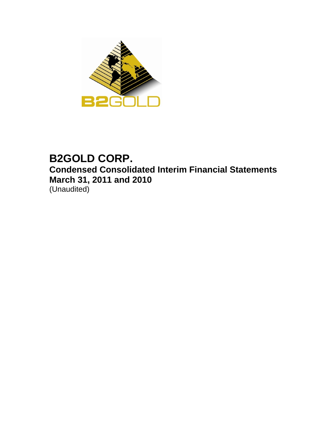

# **B2GOLD CORP. Condensed Consolidated Interim Financial Statements March 31, 2011 and 2010**  (Unaudited)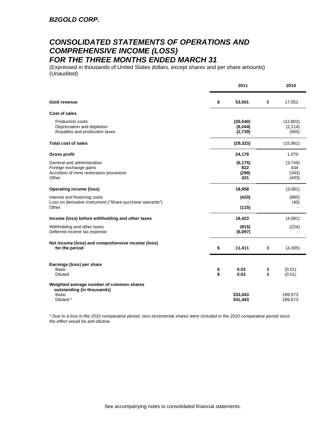## *CONSOLIDATED STATEMENTS OF OPERATIONS AND COMPREHENSIVE INCOME (LOSS) FOR THE THREE MONTHS ENDED MARCH 31*

(Expressed in thousands of United States dollars, except shares and per share amounts) (Unaudited)

|                                                                                                           |          | 2011                            |          |                                  |  |
|-----------------------------------------------------------------------------------------------------------|----------|---------------------------------|----------|----------------------------------|--|
| Gold revenue                                                                                              | \$       | 53,501                          | \$       | 17,051                           |  |
| <b>Cost of sales</b>                                                                                      |          |                                 |          |                                  |  |
| <b>Production costs</b><br>Depreciation and depletion<br>Royalties and production taxes                   |          | (20, 540)<br>(6,044)<br>(2,739) |          | (12, 802)<br>(2, 214)<br>(965)   |  |
| <b>Total cost of sales</b>                                                                                |          | (29, 323)                       |          | (15,981)                         |  |
| <b>Gross profit</b>                                                                                       |          | 24,178                          |          | 1,070                            |  |
| General and administrative<br>Foreign exchange gains<br>Accretion of mine restoration provisions<br>Other |          | (6, 175)<br>822<br>(298)<br>431 |          | (3,749)<br>434<br>(343)<br>(493) |  |
| <b>Operating income (loss)</b>                                                                            |          | 18,958                          |          | (3,081)                          |  |
| Interest and financing costs<br>Loss on derivative instrument ("Share purchase warrants")<br>Other        |          | (420)<br>(115)                  |          | (960)<br>(40)                    |  |
| Income (loss) before withholding and other taxes                                                          |          | 18,423                          |          | (4,081)                          |  |
| Withholding and other taxes<br>Deferred income tax expense                                                |          | (915)<br>(6,097)                |          | (224)                            |  |
| Net income (loss) and comprehensive income (loss)<br>for the period                                       | \$       | 11,411                          | \$       | (4,305)                          |  |
| Earnings (loss) per share<br><b>Basic</b><br><b>Diluted</b>                                               | \$<br>\$ | 0.03<br>0.03                    | \$<br>\$ | (0.01)<br>(0.01)                 |  |
| Weighted average number of common shares<br>outstanding (in thousands)<br><b>Basic</b><br>Diluted *       |          | 333,043<br>341,443              |          | 289,673<br>289,673               |  |

*\* Due to a loss in the 2010 comparative period, zero incremental shares were included in the 2010 comparative period since the effect would be anti-dilutive.*

See accompanying notes to consolidated financial statements.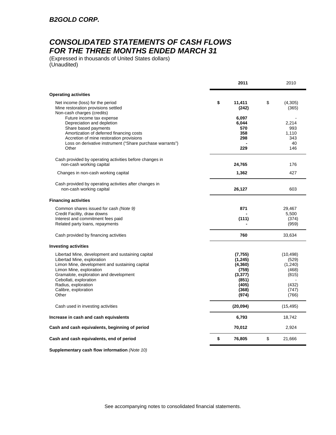## *CONSOLIDATED STATEMENTS OF CASH FLOWS FOR THE THREE MONTHS ENDED MARCH 31*

(Expressed in thousands of United States dollars) (Unaudited)

|                                                                                                                                                                                                                                               | 2011                                                           | 2010                                            |
|-----------------------------------------------------------------------------------------------------------------------------------------------------------------------------------------------------------------------------------------------|----------------------------------------------------------------|-------------------------------------------------|
| <b>Operating activities</b>                                                                                                                                                                                                                   |                                                                |                                                 |
| Net income (loss) for the period<br>Mine restoration provisions settled<br>Non-cash charges (credits)                                                                                                                                         | \$<br>11.411<br>(242)                                          | \$<br>(4,305)<br>(365)                          |
| Future income tax expense<br>Depreciation and depletion<br>Share based payments<br>Amortization of deferred financing costs<br>Accretion of mine restoration provisions<br>Loss on derivative instrument ("Share purchase warrants")<br>Other | 6,097<br>6,044<br>570<br>358<br>298<br>229                     | 2,214<br>993<br>1.110<br>343<br>40<br>146       |
| Cash provided by operating activities before changes in<br>non-cash working capital                                                                                                                                                           | 24,765                                                         | 176                                             |
| Changes in non-cash working capital                                                                                                                                                                                                           | 1,362                                                          | 427                                             |
| Cash provided by operating activities after changes in<br>non-cash working capital                                                                                                                                                            | 26,127                                                         | 603                                             |
| <b>Financing activities</b>                                                                                                                                                                                                                   |                                                                |                                                 |
| Common shares issued for cash (Note 9)<br>Credit Facility, draw downs<br>Interest and commitment fees paid                                                                                                                                    | 871<br>(111)                                                   | 29,467<br>5,500<br>(374)                        |
| Related party loans, repayments                                                                                                                                                                                                               |                                                                | (959)                                           |
| Cash provided by financing activities                                                                                                                                                                                                         | 760                                                            | 33,634                                          |
| <b>Investing activities</b>                                                                                                                                                                                                                   |                                                                |                                                 |
| Libertad Mine, development and sustaining capital<br>Libertad Mine, exploration<br>Limon Mine, development and sustaining capital<br>Limon Mine, exploration<br>Gramalote, exploration and development<br>Cebollati, exploration              | (7, 755)<br>(1, 245)<br>(4, 360)<br>(759)<br>(3, 377)<br>(851) | (10, 498)<br>(529)<br>(1,240)<br>(468)<br>(815) |
| Radius, exploration<br>Calibre, exploration<br>Other                                                                                                                                                                                          | (405)<br>(368)<br>(974)                                        | (432)<br>(747)<br>(766)                         |
| Cash used in investing activities                                                                                                                                                                                                             | (20,094)                                                       | (15, 495)                                       |
| Increase in cash and cash equivalents                                                                                                                                                                                                         | 6,793                                                          | 18,742                                          |
| Cash and cash equivalents, beginning of period                                                                                                                                                                                                | 70,012                                                         | 2,924                                           |
| Cash and cash equivalents, end of period                                                                                                                                                                                                      | \$<br>76,805                                                   | \$<br>21,666                                    |

**Supplementary cash flow information** *(Note 10)*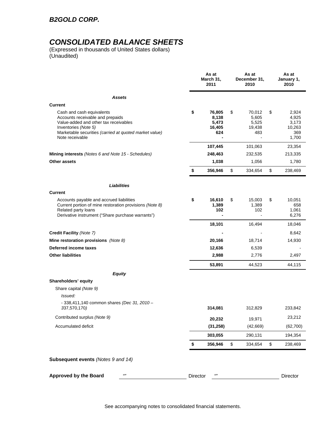## *B2GOLD CORP.*

## *CONSOLIDATED BALANCE SHEETS*

(Expressed in thousands of United States dollars) (Unaudited)

|                                                                                                                                                                                                             |          | As at<br>March 31,<br>2011                | As at<br>December 31,<br>2010                   | As at<br>January 1,<br>2010                             |
|-------------------------------------------------------------------------------------------------------------------------------------------------------------------------------------------------------------|----------|-------------------------------------------|-------------------------------------------------|---------------------------------------------------------|
| Assets                                                                                                                                                                                                      |          |                                           |                                                 |                                                         |
| Current                                                                                                                                                                                                     |          |                                           |                                                 |                                                         |
| Cash and cash equivalents<br>Accounts receivable and prepaids<br>Value-added and other tax receivables<br>Inventories (Note 5)<br>Marketable securities (carried at quoted market value)<br>Note receivable | \$       | 76,805<br>8,138<br>5,473<br>16,405<br>624 | \$<br>70,012<br>5,605<br>5,525<br>19,438<br>483 | \$<br>2,924<br>4,925<br>3,173<br>10,263<br>369<br>1,700 |
|                                                                                                                                                                                                             |          | 107,445                                   | 101,063                                         | 23,354                                                  |
| Mining interests (Notes 6 and Note 15 - Schedules)                                                                                                                                                          |          | 248,463                                   | 232,535                                         | 213,335                                                 |
| Other assets                                                                                                                                                                                                |          | 1,038                                     | 1,056                                           | 1,780                                                   |
|                                                                                                                                                                                                             | \$       | 356,946                                   | \$<br>334,654                                   | \$<br>238,469                                           |
| <b>Liabilities</b>                                                                                                                                                                                          |          |                                           |                                                 |                                                         |
| <b>Current</b>                                                                                                                                                                                              |          |                                           |                                                 |                                                         |
| Accounts payable and accrued liabilities<br>Current portion of mine restoration provisions (Note 8)<br>Related party loans<br>Derivative instrument ("Share purchase warrants")                             | \$       | 16,610<br>1,389<br>102                    | \$<br>15,003<br>1,389<br>102                    | \$<br>10,051<br>658<br>1,061<br>6,276                   |
|                                                                                                                                                                                                             |          | 18,101                                    | 16,494                                          | 18,046                                                  |
| Credit Facility (Note 7)                                                                                                                                                                                    |          |                                           |                                                 | 8,642                                                   |
| Mine restoration provisions (Note 8)                                                                                                                                                                        |          | 20,166                                    | 18,714                                          | 14,930                                                  |
| Deferred income taxes                                                                                                                                                                                       |          | 12,636                                    | 6,539                                           |                                                         |
| <b>Other liabilities</b>                                                                                                                                                                                    |          | 2,988                                     | 2,776                                           | 2,497                                                   |
|                                                                                                                                                                                                             |          | 53,891                                    | 44,523                                          | 44,115                                                  |
| <b>Equity</b>                                                                                                                                                                                               |          |                                           |                                                 |                                                         |
| Shareholders' equity                                                                                                                                                                                        |          |                                           |                                                 |                                                         |
| Share capital (Note 9)                                                                                                                                                                                      |          |                                           |                                                 |                                                         |
| Issued:                                                                                                                                                                                                     |          |                                           |                                                 |                                                         |
| $-338,411,140$ common shares (Dec 31, 2010 -<br>337,570,170)                                                                                                                                                |          | 314,081                                   | 312,829                                         | 233,842                                                 |
| Contributed surplus (Note 9)                                                                                                                                                                                |          | 20,232                                    | 19,971                                          | 23,212                                                  |
| <b>Accumulated deficit</b>                                                                                                                                                                                  |          | (31, 258)                                 | (42, 669)                                       | (62, 700)                                               |
|                                                                                                                                                                                                             |          | 303,055                                   | 290,131                                         | 194,354                                                 |
|                                                                                                                                                                                                             | \$       | 356,946                                   | \$<br>334,654                                   | \$<br>238,469                                           |
| Subsequent events (Notes 9 and 14)                                                                                                                                                                          |          |                                           |                                                 |                                                         |
| (1)<br><b>Approved by the Board</b>                                                                                                                                                                         | Director | 637                                       |                                                 | Director                                                |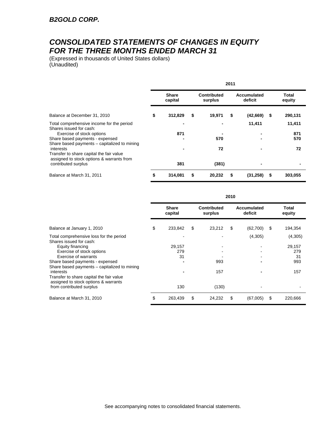## *CONSOLIDATED STATEMENTS OF CHANGES IN EQUITY FOR THE THREE MONTHS ENDED MARCH 31*

(Expressed in thousands of United States dollars) (Unaudited)

|                                                                                                    | 2011 |                         |    |                        |   |                        |                 |
|----------------------------------------------------------------------------------------------------|------|-------------------------|----|------------------------|---|------------------------|-----------------|
|                                                                                                    |      | <b>Share</b><br>capital |    | Contributed<br>surplus |   | Accumulated<br>deficit | Total<br>equity |
| Balance at December 31, 2010                                                                       | \$   | 312,829                 | \$ | 19,971                 | S | (42, 669)<br>\$        | 290,131         |
| Total comprehensive income for the period                                                          |      |                         |    | $\blacksquare$         |   | 11,411                 | 11,411          |
| Shares issued for cash:<br>Exercise of stock options                                               |      | 871                     |    |                        |   |                        | 871             |
| Share based payments - expensed<br>Share based payments – capitalized to mining                    |      |                         |    | 570                    |   |                        | 570             |
| interests<br>Transfer to share capital the fair value<br>assigned to stock options & warrants from |      |                         |    | 72                     |   |                        | 72              |
| contributed surplus                                                                                |      | 381                     |    | (381)                  |   |                        |                 |
| Balance at March 31, 2011                                                                          | \$   | 314,081                 | \$ | 20,232                 |   | (31, 258)<br>S         | 303,055         |

|                                                                                               | 2010 |                         |    |                               |    |                        |                 |
|-----------------------------------------------------------------------------------------------|------|-------------------------|----|-------------------------------|----|------------------------|-----------------|
|                                                                                               |      | <b>Share</b><br>capital |    | <b>Contributed</b><br>surplus |    | Accumulated<br>deficit | Total<br>equity |
| Balance at January 1, 2010                                                                    | \$   | 233,842                 | \$ | 23,212                        | \$ | (62,700)<br>\$         | 194,354         |
| Total comprehensive loss for the period<br>Shares issued for cash:                            |      |                         |    |                               |    | (4,305)                | (4,305)         |
| Equity financing                                                                              |      | 29,157                  |    |                               |    |                        | 29,157          |
| Exercise of stock options                                                                     |      | 279                     |    |                               |    |                        | 279             |
| Exercise of warrants                                                                          |      | 31                      |    |                               |    |                        | 31              |
| Share based payments - expensed<br>Share based payments – capitalized to mining               |      |                         |    | 993                           |    |                        | 993             |
| interests<br>Transfer to share capital the fair value<br>assigned to stock options & warrants |      |                         |    | 157                           |    |                        | 157             |
| from contributed surplus                                                                      |      | 130                     |    | (130)                         |    |                        |                 |
| Balance at March 31, 2010                                                                     | \$   | 263,439                 | \$ | 24,232                        | \$ | \$<br>(67,005)         | 220,666         |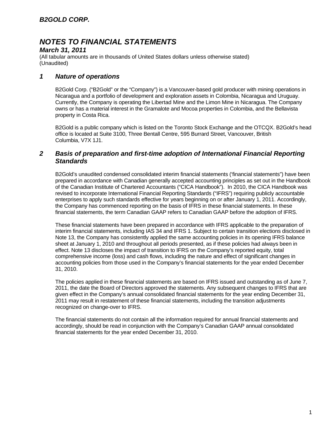## *March 31, 2011*

(All tabular amounts are in thousands of United States dollars unless otherwise stated) (Unaudited)

## *1 Nature of operations*

B2Gold Corp. ("B2Gold" or the "Company") is a Vancouver-based gold producer with mining operations in Nicaragua and a portfolio of development and exploration assets in Colombia, Nicaragua and Uruguay. Currently, the Company is operating the Libertad Mine and the Limon Mine in Nicaragua. The Company owns or has a material interest in the Gramalote and Mocoa properties in Colombia, and the Bellavista property in Costa Rica.

B2Gold is a public company which is listed on the Toronto Stock Exchange and the OTCQX. B2Gold's head office is located at Suite 3100, Three Bentall Centre, 595 Burrard Street, Vancouver, British Columbia, V7X 1J1.

## *2 Basis of preparation and first-time adoption of International Financial Reporting Standards*

B2Gold's unaudited condensed consolidated interim financial statements ('financial statements") have been prepared in accordance with Canadian generally accepted accounting principles as set out in the Handbook of the Canadian Institute of Chartered Accountants ("CICA Handbook"). In 2010, the CICA Handbook was revised to incorporate International Financial Reporting Standards ("IFRS") requiring publicly accountable enterprises to apply such standards effective for years beginning on or after January 1, 2011. Accordingly, the Company has commenced reporting on the basis of IFRS in these financial statements. In these financial statements, the term Canadian GAAP refers to Canadian GAAP before the adoption of IFRS.

These financial statements have been prepared in accordance with IFRS applicable to the preparation of interim financial statements, including IAS 34 and IFRS 1. Subject to certain transition elections disclosed in Note 13, the Company has consistently applied the same accounting policies in its opening IFRS balance sheet at January 1, 2010 and throughout all periods presented, as if these policies had always been in effect. Note 13 discloses the impact of transition to IFRS on the Company's reported equity, total comprehensive income (loss) and cash flows, including the nature and effect of significant changes in accounting policies from those used in the Company's financial statements for the year ended December 31, 2010.

The policies applied in these financial statements are based on IFRS issued and outstanding as of June 7, 2011, the date the Board of Directors approved the statements. Any subsequent changes to IFRS that are given effect in the Company's annual consolidated financial statements for the year ending December 31, 2011 may result in restatement of these financial statements, including the transition adjustments recognized on change-over to IFRS.

The financial statements do not contain all the information required for annual financial statements and accordingly, should be read in conjunction with the Company's Canadian GAAP annual consolidated financial statements for the year ended December 31, 2010.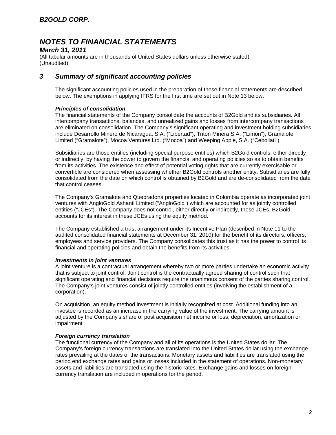### *March 31, 2011*

(All tabular amounts are in thousands of United States dollars unless otherwise stated) (Unaudited)

## *3 Summary of significant accounting policies*

The significant accounting policies used in the preparation of these financial statements are described below. The exemptions in applying IFRS for the first time are set out in Note 13 below.

### *Principles of consolidation*

The financial statements of the Company consolidate the accounts of B2Gold and its subsidiaries. All intercompany transactions, balances, and unrealized gains and losses from intercompany transactions are eliminated on consolidation. The Company's significant operating and investment holding subsidiaries include Desarrollo Minero de Nicaragua, S.A. ("Libertad"), Triton Minera S.A. ("Limon"), Gramalote Limited ("Gramalote"), Mocoa Ventures Ltd. ("Mocoa") and Weeping Apple, S.A. ("Cebollati").

Subsidiaries are those entities (including special purpose entities) which B2Gold controls, either directly or indirectly, by having the power to govern the financial and operating policies so as to obtain benefits from its activities. The existence and effect of potential voting rights that are currently exercisable or convertible are considered when assessing whether B2Gold controls another entity. Subsidiaries are fully consolidated from the date on which control is obtained by B2Gold and are de-consolidated from the date that control ceases.

The Company's Gramalote and Quebradona properties located in Colombia operate as incorporated joint ventures with AngloGold Ashanti Limited ("AngloGold") which are accounted for as jointly controlled entities ("JCEs"). The Company does not control, either directly or indirectly, these JCEs. B2Gold accounts for its interest in these JCEs using the equity method.

The Company established a trust arrangement under its Incentive Plan (described in Note 11 to the audited consolidated financial statements at December 31, 2010) for the benefit of its directors, officers, employees and service providers. The Company consolidates this trust as it has the power to control its financial and operating policies and obtain the benefits from its activities.

#### *Investments in joint ventures*

A joint venture is a contractual arrangement whereby two or more parties undertake an economic activity that is subject to joint control. Joint control is the contractually agreed sharing of control such that significant operating and financial decisions require the unanimous consent of the parties sharing control. The Company's joint ventures consist of jointly controlled entities (involving the establishment of a corporation).

On acquisition, an equity method investment is initially recognized at cost. Additional funding into an investee is recorded as an increase in the carrying value of the investment. The carrying amount is adjusted by the Company's share of post acquisition net income or loss, depreciation, amortization or impairment.

#### *Foreign currency translation*

The functional currency of the Company and all of its operations is the United States dollar. The Company's foreign currency transactions are translated into the United States dollar using the exchange rates prevailing at the dates of the transactions. Monetary assets and liabilities are translated using the period end exchange rates and gains or losses included in the statement of operations. Non-monetary assets and liabilities are translated using the historic rates. Exchange gains and losses on foreign currency translation are included in operations for the period.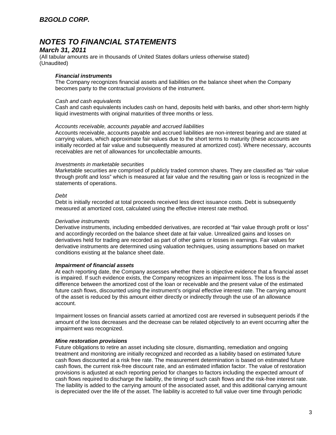### *March 31, 2011*

(All tabular amounts are in thousands of United States dollars unless otherwise stated) (Unaudited)

#### *Financial instruments*

The Company recognizes financial assets and liabilities on the balance sheet when the Company becomes party to the contractual provisions of the instrument.

#### *Cash and cash equivalents*

Cash and cash equivalents includes cash on hand, deposits held with banks, and other short-term highly liquid investments with original maturities of three months or less.

#### *Accounts receivable, accounts payable and accrued liabilities*

Accounts receivable, accounts payable and accrued liabilities are non-interest bearing and are stated at carrying values, which approximate fair values due to the short terms to maturity (these accounts are initially recorded at fair value and subsequently measured at amortized cost). Where necessary, accounts receivables are net of allowances for uncollectable amounts.

#### *Investments in marketable securities*

Marketable securities are comprised of publicly traded common shares. They are classified as "fair value through profit and loss" which is measured at fair value and the resulting gain or loss is recognized in the statements of operations.

#### *Debt*

Debt is initially recorded at total proceeds received less direct issuance costs. Debt is subsequently measured at amortized cost, calculated using the effective interest rate method.

#### *Derivative instruments*

Derivative instruments, including embedded derivatives, are recorded at "fair value through profit or loss" and accordingly recorded on the balance sheet date at fair value. Unrealized gains and losses on derivatives held for trading are recorded as part of other gains or losses in earnings. Fair values for derivative instruments are determined using valuation techniques, using assumptions based on market conditions existing at the balance sheet date.

#### *Impairment of financial assets*

At each reporting date, the Company assesses whether there is objective evidence that a financial asset is impaired. If such evidence exists, the Company recognizes an impairment loss. The loss is the difference between the amortized cost of the loan or receivable and the present value of the estimated future cash flows, discounted using the instrument's original effective interest rate. The carrying amount of the asset is reduced by this amount either directly or indirectly through the use of an allowance account.

Impairment losses on financial assets carried at amortized cost are reversed in subsequent periods if the amount of the loss decreases and the decrease can be related objectively to an event occurring after the impairment was recognized.

#### *Mine restoration provisions*

Future obligations to retire an asset including site closure, dismantling, remediation and ongoing treatment and monitoring are initially recognized and recorded as a liability based on estimated future cash flows discounted at a risk free rate. The measurement determination is based on estimated future cash flows, the current risk-free discount rate, and an estimated inflation factor. The value of restoration provisions is adjusted at each reporting period for changes to factors including the expected amount of cash flows required to discharge the liability, the timing of such cash flows and the risk-free interest rate. The liability is added to the carrying amount of the associated asset, and this additional carrying amount is depreciated over the life of the asset. The liability is accreted to full value over time through periodic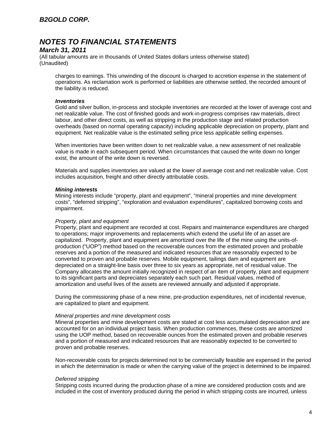## *B2GOLD CORP.*

## *NOTES TO FINANCIAL STATEMENTS*

### *March 31, 2011*

(All tabular amounts are in thousands of United States dollars unless otherwise stated) (Unaudited)

charges to earnings. This unwinding of the discount is charged to accretion expense in the statement of operations. As reclamation work is performed or liabilities are otherwise settled, the recorded amount of the liability is reduced.

#### *Inventories*

Gold and silver bullion, in-process and stockpile inventories are recorded at the lower of average cost and net realizable value. The cost of finished goods and work-in-progress comprises raw materials, direct labour, and other direct costs, as well as stripping in the production stage and related production overheads (based on normal operating capacity) including applicable depreciation on property, plant and equipment. Net realizable value is the estimated selling price less applicable selling expenses.

When inventories have been written down to net realizable value, a new assessment of net realizable value is made in each subsequent period. When circumstances that caused the write down no longer exist, the amount of the write down is reversed.

Materials and supplies inventories are valued at the lower of average cost and net realizable value. Cost includes acquisition, freight and other directly attributable costs.

#### *Mining interests*

Mining interests include "property, plant and equipment", "mineral properties and mine development costs", "deferred stripping", "exploration and evaluation expenditures", capitalized borrowing costs and impairment.

#### *Property, plant and equipment*

Property, plant and equipment are recorded at cost. Repairs and maintenance expenditures are charged to operations; major improvements and replacements which extend the useful life of an asset are capitalized. Property, plant and equipment are amortized over the life of the mine using the units-ofproduction ("UOP") method based on the recoverable ounces from the estimated proven and probable reserves and a portion of the measured and indicated resources that are reasonably expected to be converted to proven and probable reserves. Mobile equipment, tailings dam and equipment are depreciated on a straight-line basis over three to six years as appropriate, net of residual value. The Company allocates the amount initially recognized in respect of an item of property, plant and equipment to its significant parts and depreciates separately each such part. Residual values, method of amortization and useful lives of the assets are reviewed annually and adjusted if appropriate.

During the commissioning phase of a new mine, pre-production expenditures, net of incidental revenue, are capitalized to plant and equipment.

#### *Mineral properties and mine development costs*

Mineral properties and mine development costs are stated at cost less accumulated depreciation and are accounted for on an individual project basis. When production commences, these costs are amortized using the UOP method, based on recoverable ounces from the estimated proven and probable reserves and a portion of measured and indicated resources that are reasonably expected to be converted to proven and probable reserves.

Non-recoverable costs for projects determined not to be commercially feasible are expensed in the period in which the determination is made or when the carrying value of the project is determined to be impaired.

#### *Deferred stripping*

Stripping costs incurred during the production phase of a mine are considered production costs and are included in the cost of inventory produced during the period in which stripping costs are incurred, unless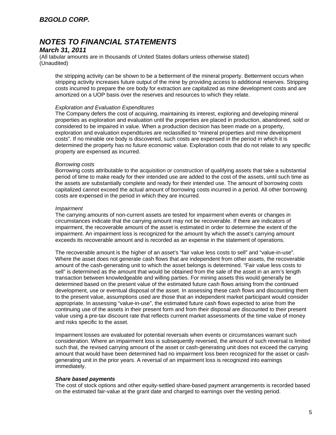### *March 31, 2011*

(All tabular amounts are in thousands of United States dollars unless otherwise stated) (Unaudited)

the stripping activity can be shown to be a betterment of the mineral property. Betterment occurs when stripping activity increases future output of the mine by providing access to additional reserves. Stripping costs incurred to prepare the ore body for extraction are capitalized as mine development costs and are amortized on a UOP basis over the reserves and resources to which they relate.

#### *Exploration and Evaluation Expenditures*

The Company defers the cost of acquiring, maintaining its interest, exploring and developing mineral properties as exploration and evaluation until the properties are placed in production, abandoned, sold or considered to be impaired in value. When a production decision has been made on a property, exploration and evaluation expenditures are reclassified to "mineral properties and mine development costs". If no minable ore body is discovered, such costs are expensed in the period in which it is determined the property has no future economic value. Exploration costs that do not relate to any specific property are expensed as incurred.

#### *Borrowing costs*

Borrowing costs attributable to the acquisition or construction of qualifying assets that take a substantial period of time to make ready for their intended use are added to the cost of the assets, until such time as the assets are substantially complete and ready for their intended use. The amount of borrowing costs capitalized cannot exceed the actual amount of borrowing costs incurred in a period. All other borrowing costs are expensed in the period in which they are incurred.

#### *Impairment*

The carrying amounts of non-current assets are tested for impairment when events or changes in circumstances indicate that the carrying amount may not be recoverable. If there are indicators of impairment, the recoverable amount of the asset is estimated in order to determine the extent of the impairment. An impairment loss is recognized for the amount by which the asset's carrying amount exceeds its recoverable amount and is recorded as an expense in the statement of operations.

The recoverable amount is the higher of an asset's "fair value less costs to sell" and "value-in-use". Where the asset does not generate cash flows that are independent from other assets, the recoverable amount of the cash-generating unit to which the asset belongs is determined. "Fair value less costs to sell" is determined as the amount that would be obtained from the sale of the asset in an arm's length transaction between knowledgeable and willing parties. For mining assets this would generally be determined based on the present value of the estimated future cash flows arising from the continued development, use or eventual disposal of the asset. In assessing these cash flows and discounting them to the present value, assumptions used are those that an independent market participant would consider appropriate. In assessing "value-in-use", the estimated future cash flows expected to arise from the continuing use of the assets in their present form and from their disposal are discounted to their present value using a pre-tax discount rate that reflects current market assessments of the time value of money and risks specific to the asset.

Impairment losses are evaluated for potential reversals when events or circumstances warrant such consideration. Where an impairment loss is subsequently reversed, the amount of such reversal is limited such that, the revised carrying amount of the asset or cash-generating unit does not exceed the carrying amount that would have been determined had no impairment loss been recognized for the asset or cashgenerating unit in the prior years. A reversal of an impairment loss is recognized into earnings immediately.

#### *Share based payments*

The cost of stock options and other equity-settled share-based payment arrangements is recorded based on the estimated fair-value at the grant date and charged to earnings over the vesting period.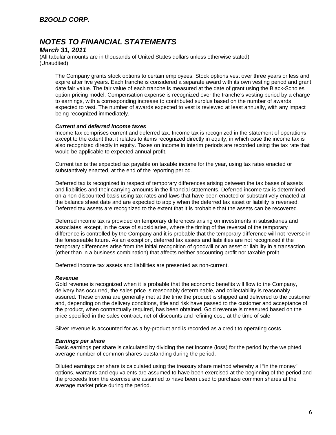### *March 31, 2011*

(All tabular amounts are in thousands of United States dollars unless otherwise stated) (Unaudited)

The Company grants stock options to certain employees. Stock options vest over three years or less and expire after five years. Each tranche is considered a separate award with its own vesting period and grant date fair value. The fair value of each tranche is measured at the date of grant using the Black-Scholes option pricing model. Compensation expense is recognized over the tranche's vesting period by a charge to earnings, with a corresponding increase to contributed surplus based on the number of awards expected to vest. The number of awards expected to vest is reviewed at least annually, with any impact being recognized immediately.

#### *Current and deferred income taxes*

Income tax comprises current and deferred tax. Income tax is recognized in the statement of operations except to the extent that it relates to items recognized directly in equity, in which case the income tax is also recognized directly in equity. Taxes on income in interim periods are recorded using the tax rate that would be applicable to expected annual profit.

Current tax is the expected tax payable on taxable income for the year, using tax rates enacted or substantively enacted, at the end of the reporting period.

Deferred tax is recognized in respect of temporary differences arising between the tax bases of assets and liabilities and their carrying amounts in the financial statements. Deferred income tax is determined on a non-discounted basis using tax rates and laws that have been enacted or substantively enacted at the balance sheet date and are expected to apply when the deferred tax asset or liability is reversed. Deferred tax assets are recognized to the extent that it is probable that the assets can be recovered.

Deferred income tax is provided on temporary differences arising on investments in subsidiaries and associates, except, in the case of subsidiaries, where the timing of the reversal of the temporary difference is controlled by the Company and it is probable that the temporary difference will not reverse in the foreseeable future. As an exception, deferred tax assets and liabilities are not recognized if the temporary differences arise from the initial recognition of goodwill or an asset or liability in a transaction (other than in a business combination) that affects neither accounting profit nor taxable profit.

Deferred income tax assets and liabilities are presented as non-current.

#### *Revenue*

Gold revenue is recognized when it is probable that the economic benefits will flow to the Company, delivery has occurred, the sales price is reasonably determinable, and collectability is reasonably assured. These criteria are generally met at the time the product is shipped and delivered to the customer and, depending on the delivery conditions, title and risk have passed to the customer and acceptance of the product, when contractually required, has been obtained. Gold revenue is measured based on the price specified in the sales contract, net of discounts and refining cost, at the time of sale

Silver revenue is accounted for as a by-product and is recorded as a credit to operating costs.

#### *Earnings per share*

Basic earnings per share is calculated by dividing the net income (loss) for the period by the weighted average number of common shares outstanding during the period.

Diluted earnings per share is calculated using the treasury share method whereby all "in the money" options, warrants and equivalents are assumed to have been exercised at the beginning of the period and the proceeds from the exercise are assumed to have been used to purchase common shares at the average market price during the period.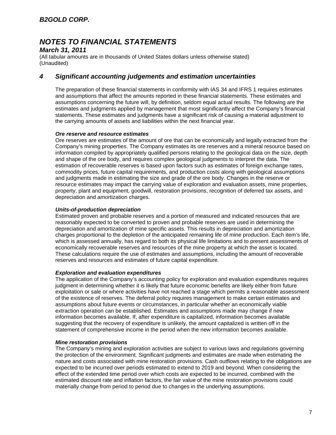## *March 31, 2011*

(All tabular amounts are in thousands of United States dollars unless otherwise stated) (Unaudited)

## *4 Significant accounting judgements and estimation uncertainties*

The preparation of these financial statements in conformity with IAS 34 and IFRS 1 requires estimates and assumptions that affect the amounts reported in these financial statements. These estimates and assumptions concerning the future will, by definition, seldom equal actual results. The following are the estimates and judgments applied by management that most significantly affect the Company's financial statements. These estimates and judgments have a significant risk of causing a material adjustment to the carrying amounts of assets and liabilities within the next financial year.

### *Ore reserve and resource estimates*

Ore reserves are estimates of the amount of ore that can be economically and legally extracted from the Company's mining properties. The Company estimates its ore reserves and a mineral resource based on information compiled by appropriately qualified persons relating to the geological data on the size, depth and shape of the ore body, and requires complex geological judgments to interpret the data. The estimation of recoverable reserves is based upon factors such as estimates of foreign exchange rates, commodity prices, future capital requirements, and production costs along with geological assumptions and judgments made in estimating the size and grade of the ore body. Changes in the reserve or resource estimates may impact the carrying value of exploration and evaluation assets, mine properties, property, plant and equipment, goodwill, restoration provisions, recognition of deferred tax assets, and depreciation and amortization charges.

### *Units-of-production depreciation*

Estimated proven and probable reserves and a portion of measured and indicated resources that are reasonably expected to be converted to proven and probable reserves are used in determining the depreciation and amortization of mine specific assets. This results in depreciation and amortization charges proportional to the depletion of the anticipated remaining life of mine production. Each item's life, which is assessed annually, has regard to both its physical life limitations and to present assessments of economically recoverable reserves and resources of the mine property at which the asset is located. These calculations require the use of estimates and assumptions, including the amount of recoverable reserves and resources and estimates of future capital expenditure.

#### *Exploration and evaluation expenditures*

The application of the Company's accounting policy for exploration and evaluation expenditures requires judgment in determining whether it is likely that future economic benefits are likely either from future exploitation or sale or where activities have not reached a stage which permits a reasonable assessment of the existence of reserves. The deferral policy requires management to make certain estimates and assumptions about future events or circumstances, in particular whether an economically viable extraction operation can be established. Estimates and assumptions made may change if new information becomes available. If, after expenditure is capitalized, information becomes available suggesting that the recovery of expenditure is unlikely, the amount capitalized is written off in the statement of comprehensive income in the period when the new information becomes available.

#### *Mine restoration provisions*

The Company's mining and exploration activities are subject to various laws and regulations governing the protection of the environment. Significant judgments and estimates are made when estimating the nature and costs associated with mine restoration provisions. Cash outflows relating to the obligations are expected to be incurred over periods estimated to extend to 2019 and beyond. When considering the effect of the extended time period over which costs are expected to be incurred, combined with the estimated discount rate and inflation factors, the fair value of the mine restoration provisions could materially change from period to period due to changes in the underlying assumptions.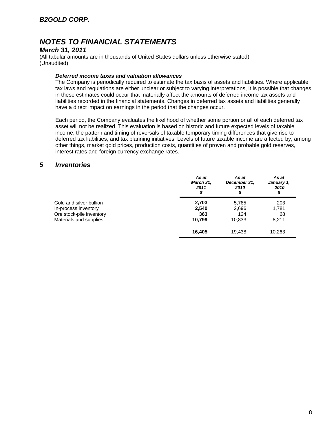## *March 31, 2011*

(All tabular amounts are in thousands of United States dollars unless otherwise stated) (Unaudited)

### *Deferred income taxes and valuation allowances*

The Company is periodically required to estimate the tax basis of assets and liabilities. Where applicable tax laws and regulations are either unclear or subject to varying interpretations, it is possible that changes in these estimates could occur that materially affect the amounts of deferred income tax assets and liabilities recorded in the financial statements. Changes in deferred tax assets and liabilities generally have a direct impact on earnings in the period that the changes occur.

Each period, the Company evaluates the likelihood of whether some portion or all of each deferred tax asset will not be realized. This evaluation is based on historic and future expected levels of taxable income, the pattern and timing of reversals of taxable temporary timing differences that give rise to deferred tax liabilities, and tax planning initiatives. Levels of future taxable income are affected by, among other things, market gold prices, production costs, quantities of proven and probable gold reserves, interest rates and foreign currency exchange rates.

## *5 Inventories*

|                          | As at<br>March 31,<br>2011<br>\$ | As at<br>December 31,<br>2010<br>\$ | As at<br>January 1,<br>2010<br>\$ |
|--------------------------|----------------------------------|-------------------------------------|-----------------------------------|
| Gold and silver bullion  | 2,703                            | 5,785                               | 203                               |
| In-process inventory     | 2,540                            | 2,696                               | 1,781                             |
| Ore stock-pile inventory | 363                              | 124                                 | 68                                |
| Materials and supplies   | 10.799                           | 10,833                              | 8,211                             |
|                          | 16.405                           | 19.438                              | 10,263                            |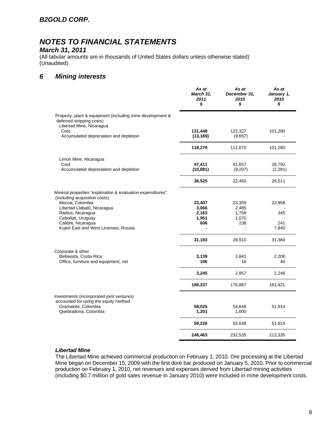## *B2GOLD CORP.*

# *NOTES TO FINANCIAL STATEMENTS*

## *March 31, 2011*

(All tabular amounts are in thousands of United States dollars unless otherwise stated) (Unaudited)

## *6 Mining interests*

|                                                                                                                    | As at<br>March 31,<br>2011<br>\$ | As at<br>December 31,<br>2010<br>\$ | As at<br>January 1,<br>2010<br>\$ |
|--------------------------------------------------------------------------------------------------------------------|----------------------------------|-------------------------------------|-----------------------------------|
| Property, plant & equipment (including mine development &<br>deferred stripping costs)<br>Libertad Mine, Nicaragua |                                  |                                     |                                   |
| Cost<br>Accumulated depreciation and depletion                                                                     | 131,448<br>(13, 169)             | 122,327<br>(9,657)                  | 101,280                           |
|                                                                                                                    | 118,279                          | 112,670                             | 101,280                           |
| Limon Mine, Nicaragua<br>Cost                                                                                      | 47,411                           | 41,657                              | 28,792                            |
| Accumulated depreciation and depletion                                                                             | (10, 891)                        | (9,207)                             | (2, 281)                          |
|                                                                                                                    | 36,520                           | 32,450                              | 26,511                            |
| Mineral properties "exploration & evaluation expenditures"<br>(including acquisition costs)<br>Mocoa, Colombia     | 23,407                           | 23,359                              | 22,958                            |
| Libertad (Jabali), Nicaragua                                                                                       | 3,066                            | 2,485                               |                                   |
| Radius, Nicaragua                                                                                                  | 2,163                            | 1,758                               | 345                               |
| Cebollati, Uruguay                                                                                                 | 1,951                            | 1,070                               |                                   |
| Calibre, Nicaragua                                                                                                 | 606                              | 238                                 | 241                               |
| Kupol East and West Licenses, Russia                                                                               |                                  |                                     | 7,840                             |
|                                                                                                                    | 31,193                           | 28,910                              | 31,384                            |
| Corporate & other                                                                                                  |                                  |                                     |                                   |
| Bellavista, Costa Rica<br>Office, furniture and equipment, net                                                     | 3,139<br>106                     | 2,841<br>16                         | 2,206<br>40                       |
|                                                                                                                    | 3,245                            | 2,857                               | 2,246                             |
|                                                                                                                    | 189,237                          | 176,887                             | 161,421                           |
| Investments (incorporated joint ventures)<br>accounted for using the equity method                                 |                                  |                                     |                                   |
| Gramalote, Colombia                                                                                                | 58,025                           | 54,648                              | 51,914                            |
| Quebradona, Colombia                                                                                               | 1,201                            | 1,000                               |                                   |
|                                                                                                                    | 59,226                           | 55,648                              | 51,914                            |
|                                                                                                                    | 248,463                          | 232,535                             | 213,335                           |

### *Libertad Mine*

The Libertad Mine achieved commercial production on February 1, 2010. Ore processing at the Libertad Mine began on December 15, 2009 with the first doré bar produced on January 5, 2010. Prior to commercial production on February 1, 2010, net revenues and expenses derived from Libertad mining activities (including \$0.7 million of gold sales revenue in January 2010) were included in mine development costs.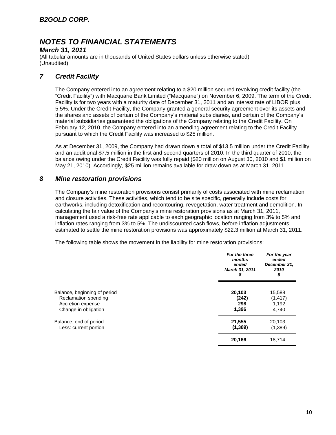## *March 31, 2011*

(All tabular amounts are in thousands of United States dollars unless otherwise stated) (Unaudited)

## *7 Credit Facility*

The Company entered into an agreement relating to a \$20 million secured revolving credit facility (the "Credit Facility") with Macquarie Bank Limited ("Macquarie") on November 6, 2009. The term of the Credit Facility is for two years with a maturity date of December 31, 2011 and an interest rate of LIBOR plus 5.5%. Under the Credit Facility, the Company granted a general security agreement over its assets and the shares and assets of certain of the Company's material subsidiaries, and certain of the Company's material subsidiaries guaranteed the obligations of the Company relating to the Credit Facility. On February 12, 2010, the Company entered into an amending agreement relating to the Credit Facility pursuant to which the Credit Facility was increased to \$25 million.

As at December 31, 2009, the Company had drawn down a total of \$13.5 million under the Credit Facility and an additional \$7.5 million in the first and second quarters of 2010. In the third quarter of 2010, the balance owing under the Credit Facility was fully repaid (\$20 million on August 30, 2010 and \$1 million on May 21, 2010). Accordingly, \$25 million remains available for draw down as at March 31, 2011.

## *8 Mine restoration provisions*

The Company's mine restoration provisions consist primarily of costs associated with mine reclamation and closure activities. These activities, which tend to be site specific, generally include costs for earthworks, including detoxification and recontouring, revegetation, water treatment and demolition. In calculating the fair value of the Company's mine restoration provisions as at March 31, 2011, management used a risk-free rate applicable to each geographic location ranging from 3% to 5% and inflation rates ranging from 3% to 5%. The undiscounted cash flows, before inflation adjustments, estimated to settle the mine restoration provisions was approximately \$22.3 million at March 31, 2011.

The following table shows the movement in the liability for mine restoration provisions:

|                              | For the three<br>months<br>ended<br>March 31, 2011<br>\$ | For the year<br>ended<br>December 31,<br>2010<br>\$ |
|------------------------------|----------------------------------------------------------|-----------------------------------------------------|
| Balance, beginning of period | 20,103                                                   | 15,588                                              |
| Reclamation spending         | (242)                                                    | (1, 417)                                            |
| Accretion expense            | 298                                                      | 1,192                                               |
| Change in obligation         | 1,396                                                    | 4,740                                               |
| Balance, end of period       | 21,555                                                   | 20,103                                              |
| Less: current portion        | (1,389)                                                  | (1,389)                                             |
|                              | 20,166                                                   | 18,714                                              |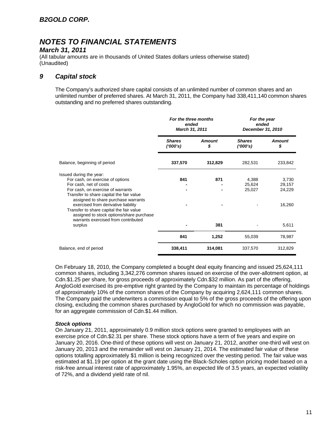### *March 31, 2011*

(All tabular amounts are in thousands of United States dollars unless otherwise stated) (Unaudited)

## *9 Capital stock*

The Company's authorized share capital consists of an unlimited number of common shares and an unlimited number of preferred shares. At March 31, 2011, the Company had 338,411,140 common shares outstanding and no preferred shares outstanding.

|                                                                                                                                                                        | For the three months<br>ended<br>March 31, 2011 |                     | For the year<br>ended<br>December 31, 2010 |                           |
|------------------------------------------------------------------------------------------------------------------------------------------------------------------------|-------------------------------------------------|---------------------|--------------------------------------------|---------------------------|
|                                                                                                                                                                        | <b>Shares</b><br>(1000's)                       | <b>Amount</b><br>\$ | <b>Shares</b><br>('000's)                  | <b>Amount</b><br>\$       |
| Balance, beginning of period                                                                                                                                           | 337,570                                         | 312,829             | 282,531                                    | 233,842                   |
| Issued during the year:<br>For cash, on exercise of options<br>For cash, net of costs<br>For cash, on exercise of warrants<br>Transfer to share capital the fair value | 841                                             | 871                 | 4,388<br>25,624<br>25,027                  | 3,730<br>29,157<br>24,229 |
| assigned to share purchase warrants<br>exercised from derivative liability<br>Transfer to share capital the fair value<br>assigned to stock options/share purchase     |                                                 |                     |                                            | 16,260                    |
| warrants exercised from contributed<br>surplus                                                                                                                         |                                                 | 381                 |                                            | 5,611                     |
|                                                                                                                                                                        | 841                                             | 1,252               | 55,039                                     | 78,987                    |
| Balance, end of period                                                                                                                                                 | 338,411                                         | 314,081             | 337,570                                    | 312,829                   |

On February 18, 2010, the Company completed a bought deal equity financing and issued 25,624,111 common shares, including 3,342,276 common shares issued on exercise of the over-allotment option, at Cdn.\$1.25 per share, for gross proceeds of approximately Cdn.\$32 million. As part of the offering, AngloGold exercised its pre-emptive right granted by the Company to maintain its percentage of holdings of approximately 10% of the common shares of the Company by acquiring 2,624,111 common shares. The Company paid the underwriters a commission equal to 5% of the gross proceeds of the offering upon closing, excluding the common shares purchased by AngloGold for which no commission was payable, for an aggregate commission of Cdn.\$1.44 million.

#### *Stock options*

On January 21, 2011, approximately 0.9 million stock options were granted to employees with an exercise price of Cdn.\$2.31 per share. These stock options have a term of five years and expire on January 20, 2016. One-third of these options will vest on January 21, 2012, another one-third will vest on January 20, 2013 and the remainder will vest on January 21, 2014. The estimated fair value of these options totalling approximately \$1 million is being recognized over the vesting period. The fair value was estimated at \$1.19 per option at the grant date using the Black-Scholes option pricing model based on a risk-free annual interest rate of approximately 1.95%, an expected life of 3.5 years, an expected volatility of 72%, and a dividend yield rate of nil.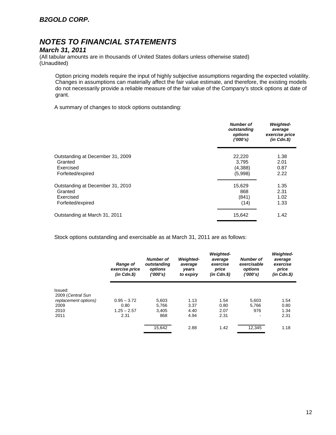## *March 31, 2011*

(All tabular amounts are in thousands of United States dollars unless otherwise stated) (Unaudited)

Option pricing models require the input of highly subjective assumptions regarding the expected volatility. Changes in assumptions can materially affect the fair value estimate, and therefore, the existing models do not necessarily provide a reliable measure of the fair value of the Company's stock options at date of grant.

A summary of changes to stock options outstanding:

|                                  | <b>Number of</b><br>outstanding<br>options<br>(1000's) | <b>Weighted-</b><br>average<br>exercise price<br>$(in$ $Cdn.S)$ |
|----------------------------------|--------------------------------------------------------|-----------------------------------------------------------------|
| Outstanding at December 31, 2009 | 22,220                                                 | 1.38                                                            |
| Granted                          | 3,795                                                  | 2.01                                                            |
| Exercised                        | (4,388)                                                | 0.87                                                            |
| Forfeited/expired                | (5,998)                                                | 2.22                                                            |
| Outstanding at December 31, 2010 | 15,629                                                 | 1.35                                                            |
| Granted                          | 868                                                    | 2.31                                                            |
| Exercised                        | (841)                                                  | 1.02                                                            |
| Forfeited/expired                | (14)                                                   | 1.33                                                            |
| Outstanding at March 31, 2011    | 15,642                                                 | 1.42                                                            |

Stock options outstanding and exercisable as at March 31, 2011 are as follows:

|                                           | <b>Range of</b><br>exercise price<br>$(in$ $Cdn.S)$ | Number of<br>outstanding<br>options<br>('000's) | <b>Weighted-</b><br>average<br>years<br>to expiry | <b>Weighted-</b><br>average<br>exercise<br>price<br>$(in$ $Cdn.S)$ | <b>Number of</b><br>exercisable<br>options<br>(1000's) | <b>Weighted-</b><br>average<br>exercise<br>price<br>(in Cdn.\$) |
|-------------------------------------------|-----------------------------------------------------|-------------------------------------------------|---------------------------------------------------|--------------------------------------------------------------------|--------------------------------------------------------|-----------------------------------------------------------------|
| Issued:                                   |                                                     |                                                 |                                                   |                                                                    |                                                        |                                                                 |
| 2009 (Central Sun<br>replacement options) | $0.95 - 3.72$                                       | 5,603                                           | 1.13                                              | 1.54                                                               | 5,603                                                  | 1.54                                                            |
| 2009                                      | 0.80                                                | 5,766                                           | 3.37                                              | 0.80                                                               | 5.766                                                  | 0.80                                                            |
| 2010                                      | $1.25 - 2.57$                                       | 3.405                                           | 4.40                                              | 2.07                                                               | 976                                                    | 1.34                                                            |
| 2011                                      | 2.31                                                | 868                                             | 4.94                                              | 2.31                                                               | $\overline{\phantom{a}}$                               | 2.31                                                            |
|                                           |                                                     | 15,642                                          | 2.88                                              | 1.42                                                               | 12,345                                                 | 1.18                                                            |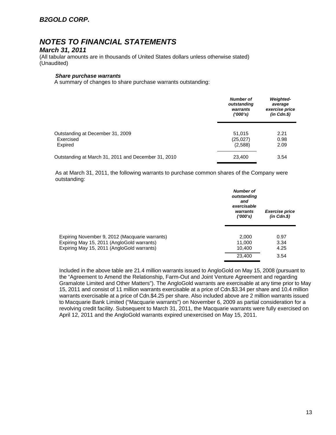## *March 31, 2011*

(All tabular amounts are in thousands of United States dollars unless otherwise stated) (Unaudited)

#### *Share purchase warrants*

A summary of changes to share purchase warrants outstanding:

|                                                          | <b>Number of</b><br>outstanding<br>warrants<br>(1000's) | <b>Weighted-</b><br>average<br>exercise price<br>$(in$ $Cdn.S)$ |  |
|----------------------------------------------------------|---------------------------------------------------------|-----------------------------------------------------------------|--|
| Outstanding at December 31, 2009<br>Exercised<br>Expired | 51.015<br>(25,027)<br>(2,588)                           | 2.21<br>0.98<br>2.09                                            |  |
| Outstanding at March 31, 2011 and December 31, 2010      | 23,400                                                  | 3.54                                                            |  |

As at March 31, 2011, the following warrants to purchase common shares of the Company were outstanding:

|                                                                                                                                            | <b>Number of</b><br>outstanding<br>and<br>exercisable<br>warrants<br>(1000's) | <b>Exercise price</b><br>$(in$ $Cdn.S)$ |
|--------------------------------------------------------------------------------------------------------------------------------------------|-------------------------------------------------------------------------------|-----------------------------------------|
| Expiring November 9, 2012 (Macquarie warrants)<br>Expiring May 15, 2011 (AngloGold warrants)<br>Expiring May 15, 2011 (AngloGold warrants) | 2,000<br>11,000<br>10.400                                                     | 0.97<br>3.34<br>4.25                    |
|                                                                                                                                            | 23,400                                                                        | 3.54                                    |

Included in the above table are 21.4 million warrants issued to AngloGold on May 15, 2008 (pursuant to the "Agreement to Amend the Relationship, Farm-Out and Joint Venture Agreement and regarding Gramalote Limited and Other Matters"). The AngloGold warrants are exercisable at any time prior to May 15, 2011 and consist of 11 million warrants exercisable at a price of Cdn.\$3.34 per share and 10.4 million warrants exercisable at a price of Cdn.\$4.25 per share. Also included above are 2 million warrants issued to Macquarie Bank Limited ("Macquarie warrants") on November 6, 2009 as partial consideration for a revolving credit facility. Subsequent to March 31, 2011, the Macquarie warrants were fully exercised on April 12, 2011 and the AngloGold warrants expired unexercised on May 15, 2011.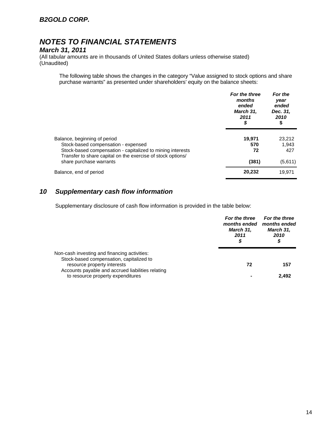## *March 31, 2011*

(All tabular amounts are in thousands of United States dollars unless otherwise stated) (Unaudited)

The following table shows the changes in the category "Value assigned to stock options and share purchase warrants" as presented under shareholders' equity on the balance sheets:

|                                                                                                                           | For the three<br>months<br>ended<br>March 31,<br>2011<br>\$ | For the<br>year<br>ended<br>Dec. 31,<br>2010<br>\$ |  |
|---------------------------------------------------------------------------------------------------------------------------|-------------------------------------------------------------|----------------------------------------------------|--|
| Balance, beginning of period                                                                                              | 19.971                                                      | 23.212                                             |  |
| Stock-based compensation - expensed                                                                                       | 570                                                         | 1,943                                              |  |
| Stock-based compensation - capitalized to mining interests<br>Transfer to share capital on the exercise of stock options/ | 72                                                          | 427                                                |  |
| share purchase warrants                                                                                                   | (381)                                                       | (5,611)                                            |  |
| Balance, end of period                                                                                                    | 20,232                                                      | 19.971                                             |  |

## *10 Supplementary cash flow information*

Supplementary disclosure of cash flow information is provided in the table below:

|                                                                                          | For the three<br>months ended<br>March 31,<br>2011<br>\$ | For the three<br>months ended<br>March 31,<br>2010<br>\$ |  |
|------------------------------------------------------------------------------------------|----------------------------------------------------------|----------------------------------------------------------|--|
| Non-cash investing and financing activities:<br>Stock-based compensation, capitalized to |                                                          |                                                          |  |
| resource property interests<br>Accounts payable and accrued liabilities relating         | 72                                                       | 157                                                      |  |
| to resource property expenditures                                                        |                                                          | 2.492                                                    |  |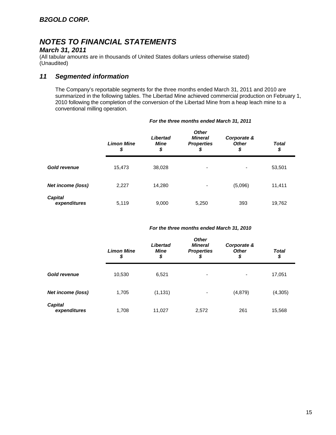## *March 31, 2011*

(All tabular amounts are in thousands of United States dollars unless otherwise stated) (Unaudited)

## *11 Segmented information*

The Company's reportable segments for the three months ended March 31, 2011 and 2010 are summarized in the following tables. The Libertad Mine achieved commercial production on February 1, 2010 following the completion of the conversion of the Libertad Mine from a heap leach mine to a conventional milling operation.

|                                | <b>Limon Mine</b><br>\$ | Libertad<br>Mine<br>\$ | <b>Other</b><br><b>Mineral</b><br><b>Properties</b><br>\$ | Corporate &<br><b>Other</b><br>\$ | <b>Total</b><br>\$ |
|--------------------------------|-------------------------|------------------------|-----------------------------------------------------------|-----------------------------------|--------------------|
| <b>Gold revenue</b>            | 15,473                  | 38,028                 | ۰                                                         | ۰                                 | 53,501             |
| <b>Net income (loss)</b>       | 2,227                   | 14,280                 | -                                                         | (5,096)                           | 11,411             |
| <b>Capital</b><br>expenditures | 5,119                   | 9,000                  | 5,250                                                     | 393                               | 19,762             |

#### *For the three months ended March 31, 2011*

#### *For the three months ended March 31, 2010*

|                                | <b>Limon Mine</b><br>\$ | Libertad<br><b>Mine</b><br>\$ | <b>Other</b><br><b>Mineral</b><br><b>Properties</b><br>\$ | Corporate &<br><b>Other</b><br>\$ | <b>Total</b><br>\$ |
|--------------------------------|-------------------------|-------------------------------|-----------------------------------------------------------|-----------------------------------|--------------------|
| <b>Gold revenue</b>            | 10,530                  | 6,521                         | ۰                                                         | -                                 | 17,051             |
| Net income (loss)              | 1,705                   | (1, 131)                      | ٠                                                         | (4, 879)                          | (4, 305)           |
| <b>Capital</b><br>expenditures | 1,708                   | 11,027                        | 2,572                                                     | 261                               | 15,568             |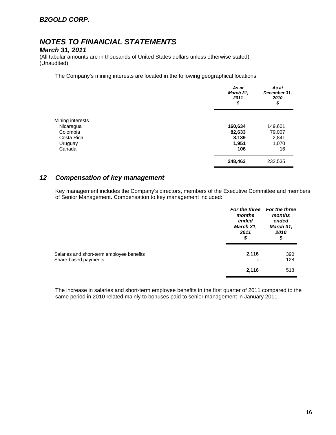## *B2GOLD CORP.*

# *NOTES TO FINANCIAL STATEMENTS*

### *March 31, 2011*

(All tabular amounts are in thousands of United States dollars unless otherwise stated) (Unaudited)

The Company's mining interests are located in the following geographical locations

|                  | As at<br>March 31,<br>2011<br>\$ | As at<br>December 31,<br>2010<br>\$ |
|------------------|----------------------------------|-------------------------------------|
| Mining interests |                                  |                                     |
| Nicaragua        | 160,634                          | 149,601                             |
| Colombia         | 82,633                           | 79,007                              |
| Costa Rica       | 3,139                            | 2,841                               |
| Uruguay          | 1,951                            | 1,070                               |
| Canada           | 106                              | 16                                  |
|                  | 248,463                          | 232,535                             |

## *12 Compensation of key management*

Key management includes the Company's directors, members of the Executive Committee and members of Senior Management. Compensation to key management included:

| $\blacksquare$<br>Salaries and short-term employee benefits<br>Share-based payments | months<br>ended<br>March 31,<br>2011<br>\$ | For the three For the three<br>months<br>ended<br>March 31,<br>2010<br>\$ |  |
|-------------------------------------------------------------------------------------|--------------------------------------------|---------------------------------------------------------------------------|--|
|                                                                                     | 2,116                                      | 390<br>128                                                                |  |
|                                                                                     | 2,116                                      | 518                                                                       |  |

The increase in salaries and short-term employee benefits in the first quarter of 2011 compared to the same period in 2010 related mainly to bonuses paid to senior management in January 2011.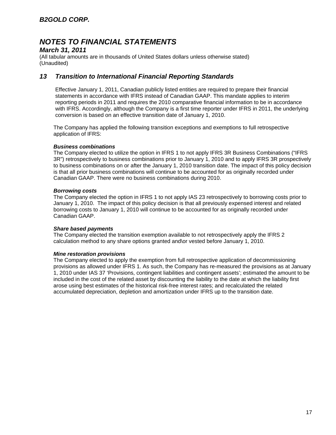### *March 31, 2011*

(All tabular amounts are in thousands of United States dollars unless otherwise stated) (Unaudited)

## *13 Transition to International Financial Reporting Standards*

Effective January 1, 2011, Canadian publicly listed entities are required to prepare their financial statements in accordance with IFRS instead of Canadian GAAP. This mandate applies to interim reporting periods in 2011 and requires the 2010 comparative financial information to be in accordance with IFRS. Accordingly, although the Company is a first time reporter under IFRS in 2011, the underlying conversion is based on an effective transition date of January 1, 2010.

The Company has applied the following transition exceptions and exemptions to full retrospective application of IFRS:

### *Business combinations*

The Company elected to utilize the option in IFRS 1 to not apply IFRS 3R Business Combinations ("IFRS 3R") retrospectively to business combinations prior to January 1, 2010 and to apply IFRS 3R prospectively to business combinations on or after the January 1, 2010 transition date. The impact of this policy decision is that all prior business combinations will continue to be accounted for as originally recorded under Canadian GAAP. There were no business combinations during 2010.

### *Borrowing costs*

The Company elected the option in IFRS 1 to not apply IAS 23 retrospectively to borrowing costs prior to January 1, 2010. The impact of this policy decision is that all previously expensed interest and related borrowing costs to January 1, 2010 will continue to be accounted for as originally recorded under Canadian GAAP.

#### *Share based payments*

The Company elected the transition exemption available to not retrospectively apply the IFRS 2 calculation method to any share options granted and\or vested before January 1, 2010.

### *Mine restoration provisions*

The Company elected to apply the exemption from full retrospective application of decommissioning provisions as allowed under IFRS 1. As such, the Company has re-measured the provisions as at January 1, 2010 under IAS 37 'Provisions, contingent liabilities and contingent assets'; estimated the amount to be included in the cost of the related asset by discounting the liability to the date at which the liability first arose using best estimates of the historical risk-free interest rates; and recalculated the related accumulated depreciation, depletion and amortization under IFRS up to the transition date.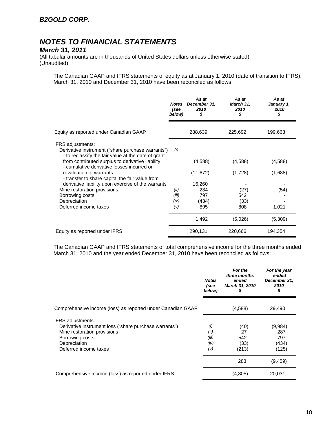## *March 31, 2011*

(All tabular amounts are in thousands of United States dollars unless otherwise stated) (Unaudited)

The Canadian GAAP and IFRS statements of equity as at January 1, 2010 (date of transition to IFRS), March 31, 2010 and December 31, 2010 have been reconciled as follows:

|                                                                                                                                                                                          | <b>Notes</b><br>(see<br>below) | As at<br>December 31,<br>2010<br>\$ | As at<br>March 31,<br>2010<br>\$ | As at<br>January 1,<br>2010<br>\$ |
|------------------------------------------------------------------------------------------------------------------------------------------------------------------------------------------|--------------------------------|-------------------------------------|----------------------------------|-----------------------------------|
| Equity as reported under Canadian GAAP                                                                                                                                                   |                                | 288,639                             | 225,692                          | 199,663                           |
| <b>IFRS</b> adjustments:<br>Derivative instrument ("share purchase warrants")<br>- to reclassify the fair value at the date of grant<br>from contributed surplus to derivative liability | (i)                            | (4,588)                             | (4,588)                          | (4,588)                           |
| - cumulative derivative losses incurred on<br>revaluation of warrants<br>- transfer to share capital the fair value from                                                                 |                                | (11, 672)                           | (1,728)                          | (1,688)                           |
| derivative liability upon exercise of the warrants                                                                                                                                       |                                | 16,260                              |                                  |                                   |
| Mine restoration provisions                                                                                                                                                              | (ii)                           | 234                                 | (27)                             | (54)                              |
| Borrowing costs                                                                                                                                                                          | (iii)<br>(iv)                  | 797                                 | 542                              |                                   |
| Depreciation<br>Deferred income taxes                                                                                                                                                    | (v)                            | (434)<br>895                        | (33)<br>808                      | 1,021                             |
|                                                                                                                                                                                          |                                | 1,492                               | (5,026)                          | (5,309)                           |
| Equity as reported under IFRS                                                                                                                                                            |                                | 290,131                             | 220,666                          | 194,354                           |

The Canadian GAAP and IFRS statements of total comprehensive income for the three months ended March 31, 2010 and the year ended December 31, 2010 have been reconciled as follows:

|                                                             | <b>Notes</b><br>(see<br>below) | For the<br>three months<br>ended<br><b>March 31, 2010</b><br>S | For the year<br>ended<br>December 31,<br>2010<br>\$ |
|-------------------------------------------------------------|--------------------------------|----------------------------------------------------------------|-----------------------------------------------------|
| Comprehensive income (loss) as reported under Canadian GAAP |                                | (4,588)                                                        | 29,490                                              |
| <b>IFRS</b> adjustments:                                    |                                |                                                                |                                                     |
| Derivative instrument loss ("share purchase warrants")      | (i)                            | (40)                                                           | (9,984)                                             |
| Mine restoration provisions                                 | (ii)                           | 27                                                             | 287                                                 |
| Borrowing costs                                             | (iii)                          | 542                                                            | 797                                                 |
| Depreciation                                                | (iv)                           | (33)                                                           | (434)                                               |
| Deferred income taxes                                       | (v)                            | (213)                                                          | (125)                                               |
|                                                             |                                | 283                                                            | (9,459)                                             |
| Comprehensive income (loss) as reported under IFRS          |                                | (4,305)                                                        | 20,031                                              |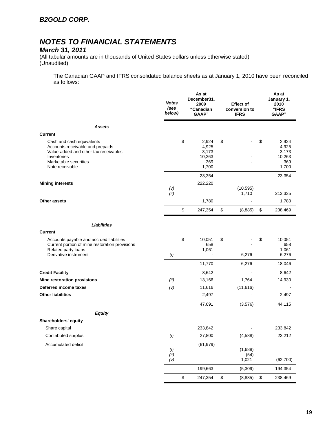## *March 31, 2011*

(All tabular amounts are in thousands of United States dollars unless otherwise stated) (Unaudited)

The Canadian GAAP and IFRS consolidated balance sheets as at January 1, 2010 have been reconciled as follows:

|                                                                                                                                                                   | <b>Notes</b><br>(see<br>below) | As at<br>December31,<br>2009<br>"Canadian<br>GAAP" |                                           | <b>Effect of</b><br>conversion to<br><b>IFRS</b> |              | As at<br>January 1,<br>2010<br>"IFRS<br><b>GAAP</b> " |
|-------------------------------------------------------------------------------------------------------------------------------------------------------------------|--------------------------------|----------------------------------------------------|-------------------------------------------|--------------------------------------------------|--------------|-------------------------------------------------------|
| <b>Assets</b>                                                                                                                                                     |                                |                                                    |                                           |                                                  |              |                                                       |
| <b>Current</b>                                                                                                                                                    |                                |                                                    |                                           |                                                  |              |                                                       |
| Cash and cash equivalents<br>Accounts receivable and prepaids<br>Value-added and other tax receivables<br>Inventories<br>Marketable securities<br>Note receivable | \$                             | 2,924<br>4,925<br>3,173<br>10,263<br>369<br>1,700  | \$                                        |                                                  | \$           | 2,924<br>4,925<br>3,173<br>10,263<br>369<br>1,700     |
|                                                                                                                                                                   |                                | 23,354                                             |                                           | ÷                                                |              | 23,354                                                |
| <b>Mining interests</b>                                                                                                                                           | (v)<br>(ii)                    | 222,220                                            |                                           | (10, 595)<br>1,710                               |              | 213,335                                               |
| Other assets                                                                                                                                                      |                                | 1,780                                              |                                           |                                                  |              | 1,780                                                 |
|                                                                                                                                                                   | \$                             | 247,354                                            | \$                                        | (8,885)                                          | \$           | 238,469                                               |
| <b>Liabilities</b>                                                                                                                                                |                                |                                                    |                                           |                                                  |              |                                                       |
| <b>Current</b>                                                                                                                                                    |                                |                                                    |                                           |                                                  |              |                                                       |
| Accounts payable and accrued liabilities<br>Current portion of mine restoration provisions<br>Related party loans<br>Derivative instrument                        | \$<br>(i)                      | 10,051<br>658<br>1,061                             | \$                                        | 6,276                                            | \$           | 10,051<br>658<br>1,061<br>6,276                       |
|                                                                                                                                                                   |                                | 11,770                                             |                                           | 6,276                                            |              | 18,046                                                |
| <b>Credit Facility</b>                                                                                                                                            |                                | 8,642                                              |                                           |                                                  |              | 8,642                                                 |
| Mine restoration provisions                                                                                                                                       | (ii)                           | 13,166                                             |                                           | 1,764                                            |              | 14,930                                                |
| Deferred income taxes                                                                                                                                             | (v)                            | 11,616                                             |                                           | (11,616)                                         |              |                                                       |
| <b>Other liabilities</b>                                                                                                                                          |                                | 2,497                                              |                                           |                                                  |              | 2,497                                                 |
|                                                                                                                                                                   |                                | 47,691                                             |                                           | (3,576)                                          |              | 44,115                                                |
| <b>Equity</b>                                                                                                                                                     |                                |                                                    |                                           |                                                  |              |                                                       |
| Shareholders' equity                                                                                                                                              |                                |                                                    |                                           |                                                  |              |                                                       |
| Share capital                                                                                                                                                     |                                | 233,842                                            |                                           |                                                  |              | 233,842                                               |
| Contributed surplus                                                                                                                                               | (i)                            | 27,800                                             |                                           | (4, 588)                                         |              | 23,212                                                |
| Accumulated deficit                                                                                                                                               | $(i)$<br>$(ii)$<br>(v)         | (61, 979)                                          |                                           | (1,688)<br>(54)<br>1,021                         |              | (62, 700)                                             |
|                                                                                                                                                                   |                                | 199,663                                            |                                           | (5,309)                                          |              | 194,354                                               |
|                                                                                                                                                                   | \$                             | 247,354                                            | $\, \, \raisebox{12pt}{$\scriptstyle \$}$ | (8,885)                                          | $\mathbb{S}$ | 238,469                                               |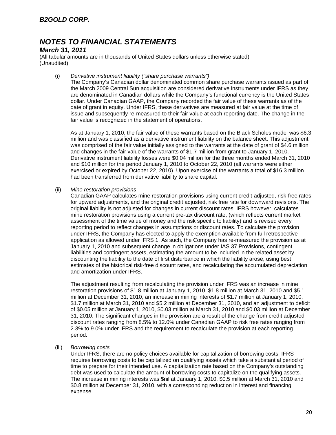### *March 31, 2011*

(All tabular amounts are in thousands of United States dollars unless otherwise stated) (Unaudited)

#### (i) *Derivative instrument liability ("share purchase warrants")*

The Company's Canadian dollar denominated common share purchase warrants issued as part of the March 2009 Central Sun acquisition are considered derivative instruments under IFRS as they are denominated in Canadian dollars while the Company's functional currency is the United States dollar. Under Canadian GAAP, the Company recorded the fair value of these warrants as of the date of grant in equity. Under IFRS, these derivatives are measured at fair value at the time of issue and subsequently re-measured to their fair value at each reporting date. The change in the fair value is recognized in the statement of operations.

As at January 1, 2010, the fair value of these warrants based on the Black Scholes model was \$6.3 million and was classified as a derivative instrument liability on the balance sheet. This adjustment was comprised of the fair value initially assigned to the warrants at the date of grant of \$4.6 million and changes in the fair value of the warrants of \$1.7 million from grant to January 1, 2010. Derivative instrument liability losses were \$0.04 million for the three months ended March 31, 2010 and \$10 million for the period January 1, 2010 to October 22, 2010 (all warrants were either exercised or expired by October 22, 2010). Upon exercise of the warrants a total of \$16.3 million had been transferred from derivative liability to share capital.

#### (ii) *Mine restoration provisions*

Canadian GAAP calculates mine restoration provisions using current credit-adjusted, risk-free rates for upward adjustments, and the original credit adjusted, risk free rate for downward revisions. The original liability is not adjusted for changes in current discount rates. IFRS however, calculates mine restoration provisions using a current pre-tax discount rate, (which reflects current market assessment of the time value of money and the risk specific to liability) and is revised every reporting period to reflect changes in assumptions or discount rates. To calculate the provision under IFRS, the Company has elected to apply the exemption available from full retrospective application as allowed under IFRS 1. As such, the Company has re-measured the provision as at January 1, 2010 and subsequent change in obligations under IAS 37 Provisions, contingent liabilities and contingent assets, estimating the amount to be included in the related asset by discounting the liability to the date of first disturbance in which the liability arose, using best estimates of the historical risk-free discount rates, and recalculating the accumulated depreciation and amortization under IFRS.

The adjustment resulting from recalculating the provision under IFRS was an increase in mine restoration provisions of \$1.8 million at January 1, 2010, \$1.8 million at March 31, 2010 and \$5.1 million at December 31, 2010, an increase in mining interests of \$1.7 million at January 1, 2010, \$1.7 million at March 31, 2010 and \$5.2 million at December 31, 2010, and an adjustment to deficit of \$0.05 million at January 1, 2010, \$0.03 million at March 31, 2010 and \$0.03 million at December 31, 2010. The significant changes in the provision are a result of the change from credit adjusted discount rates ranging from 8.5% to 12.0% under Canadian GAAP to risk free rates ranging from 2.3% to 9.0% under IFRS and the requirement to recalculate the provision at each reporting period.

#### (iii) *Borrowing costs*

Under IFRS, there are no policy choices available for capitalization of borrowing costs. IFRS requires borrowing costs to be capitalized on qualifying assets which take a substantial period of time to prepare for their intended use. A capitalization rate based on the Company's outstanding debt was used to calculate the amount of borrowing costs to capitalize on the qualifying assets. The increase in mining interests was \$nil at January 1, 2010, \$0.5 million at March 31, 2010 and \$0.8 million at December 31, 2010, with a corresponding reduction in interest and financing expense.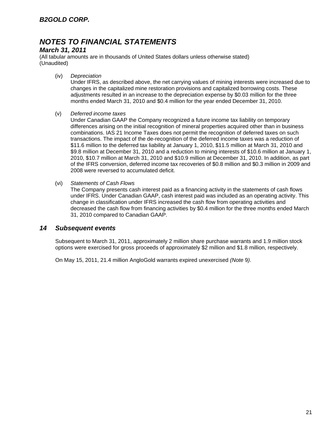## *March 31, 2011*

(All tabular amounts are in thousands of United States dollars unless otherwise stated) (Unaudited)

(iv) *Depreciation* 

Under IFRS, as described above, the net carrying values of mining interests were increased due to changes in the capitalized mine restoration provisions and capitalized borrowing costs. These adjustments resulted in an increase to the depreciation expense by \$0.03 million for the three months ended March 31, 2010 and \$0.4 million for the year ended December 31, 2010.

(v) *Deferred income taxes* 

Under Canadian GAAP the Company recognized a future income tax liability on temporary differences arising on the initial recognition of mineral properties acquired other than in business combinations. IAS 21 Income Taxes does not permit the recognition of deferred taxes on such transactions. The impact of the de-recognition of the deferred income taxes was a reduction of \$11.6 million to the deferred tax liability at January 1, 2010, \$11.5 million at March 31, 2010 and \$9.8 million at December 31, 2010 and a reduction to mining interests of \$10.6 million at January 1, 2010, \$10.7 million at March 31, 2010 and \$10.9 million at December 31, 2010. In addition, as part of the IFRS conversion, deferred income tax recoveries of \$0.8 million and \$0.3 million in 2009 and 2008 were reversed to accumulated deficit.

(vi) *Statements of Cash Flows* 

The Company presents cash interest paid as a financing activity in the statements of cash flows under IFRS. Under Canadian GAAP, cash interest paid was included as an operating activity. This change in classification under IFRS increased the cash flow from operating activities and decreased the cash flow from financing activities by \$0.4 million for the three months ended March 31, 2010 compared to Canadian GAAP.

### *14 Subsequent events*

Subsequent to March 31, 2011, approximately 2 million share purchase warrants and 1.9 million stock options were exercised for gross proceeds of approximately \$2 million and \$1.8 million, respectively.

On May 15, 2011, 21.4 million AngloGold warrants expired unexercised *(Note* 9*)*.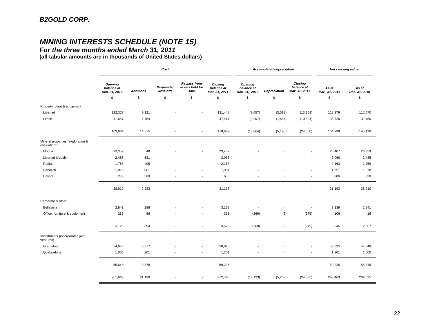# *MINING INTERESTS SCHEDULE (NOTE 15)*

*For the three months ended March 31, 2011* 

**(all tabular amounts are in thousands of United States dollars)**

|                                                  | Cost                                          |                  |                          |                                                | <b>Accumulated depreciation</b>        |                                        |              | Net carrying value                     |                        |                        |
|--------------------------------------------------|-----------------------------------------------|------------------|--------------------------|------------------------------------------------|----------------------------------------|----------------------------------------|--------------|----------------------------------------|------------------------|------------------------|
|                                                  | <b>Opening</b><br>balance at<br>Dec. 31, 2010 | <b>Additions</b> | Disposals/<br>write-offs | <b>Reclass from</b><br>assets held for<br>sale | Closing<br>balance at<br>Mar. 31, 2011 | Opening<br>balance at<br>Dec. 31, 2010 | Depreciation | Closing<br>balance at<br>Mar. 31, 2011 | As at<br>Mar. 31, 2011 | As at<br>Dec. 31, 2010 |
|                                                  | \$                                            | \$               | \$                       | \$                                             | \$                                     | \$                                     | \$           | \$                                     | \$                     | \$                     |
| Property, plant & equipment                      |                                               |                  |                          |                                                |                                        |                                        |              |                                        |                        |                        |
| Libertad                                         | 122,327                                       | 9,121            |                          | $\overline{\phantom{a}}$                       | 131,448                                | (9,657)                                | (3, 512)     | (13, 169)                              | 118,279                | 112,670                |
| Limon                                            | 41,657                                        | 5,754            |                          | $\overline{\phantom{a}}$                       | 47,411                                 | (9,207)                                | (1,684)      | (10, 891)                              | 36,520                 | 32,450                 |
|                                                  | 163,984                                       | 14,875           |                          | $\overline{\phantom{a}}$                       | 178,859                                | (18, 864)                              | (5, 196)     | (24,060)                               | 154,799                | 145,120                |
| Mineral properties "exploration &<br>evaluation" |                                               |                  |                          |                                                |                                        |                                        |              |                                        |                        |                        |
| Mocoa                                            | 23,359                                        | 48               |                          |                                                | 23,407                                 |                                        |              |                                        | 23,407                 | 23,359                 |
| Libertad (Jabali)                                | 2,485                                         | 581              |                          |                                                | 3,066                                  |                                        |              |                                        | 3,066                  | 2,485                  |
| Radius                                           | 1,758                                         | 405              |                          | $\overline{\phantom{a}}$                       | 2,163                                  |                                        |              |                                        | 2,163                  | 1,758                  |
| Cebollati                                        | 1,070                                         | 881              |                          | $\overline{\phantom{a}}$                       | 1,951                                  |                                        |              |                                        | 1,951                  | 1,070                  |
| Calibre                                          | 238                                           | 368              |                          | $\overline{\phantom{a}}$                       | 606                                    |                                        |              |                                        | 606                    | 238                    |
|                                                  | 28,910                                        | 2,283            |                          | $\overline{\phantom{a}}$                       | 31,193                                 | ٠                                      |              | $\overline{\phantom{a}}$               | 31,193                 | 28,910                 |
| Corporate & other                                |                                               |                  |                          |                                                |                                        |                                        |              |                                        |                        |                        |
| Bellavista                                       | 2,841                                         | 298              |                          |                                                | 3,139                                  |                                        |              | $\overline{\phantom{a}}$               | 3,139                  | 2,841                  |
| Office, furniture & equipment                    | 285                                           | 96               |                          | $\overline{\phantom{a}}$                       | 381                                    | (269)                                  | (6)          | (275)                                  | 106                    | 16                     |
|                                                  | 3,126                                         | 394              |                          | $\overline{\phantom{a}}$                       | 3,520                                  | (269)                                  | (6)          | (275)                                  | 3,245                  | 2,857                  |
| Investments (incorporated joint<br>ventures)     |                                               |                  |                          |                                                |                                        |                                        |              |                                        |                        |                        |
| Gramalote                                        | 54,648                                        | 3,377            |                          | $\overline{\phantom{a}}$                       | 58,025                                 |                                        |              | $\overline{\phantom{a}}$               | 58,025                 | 54,648                 |
| Quebradona                                       | 1,000                                         | 201              | $\overline{\phantom{a}}$ | $\overline{\phantom{a}}$                       | 1,201                                  |                                        |              | $\overline{\phantom{a}}$               | 1,201                  | 1,000                  |
|                                                  | 55,648                                        | 3,578            |                          | $\sim$                                         | 59,226                                 |                                        |              |                                        | 59,226                 | 55,648                 |
|                                                  | 251,668                                       | 21,130           |                          | $\overline{\phantom{a}}$                       | 272,798                                | (19, 133)                              | (5,202)      | (24, 335)                              | 248,463                | 232,535                |